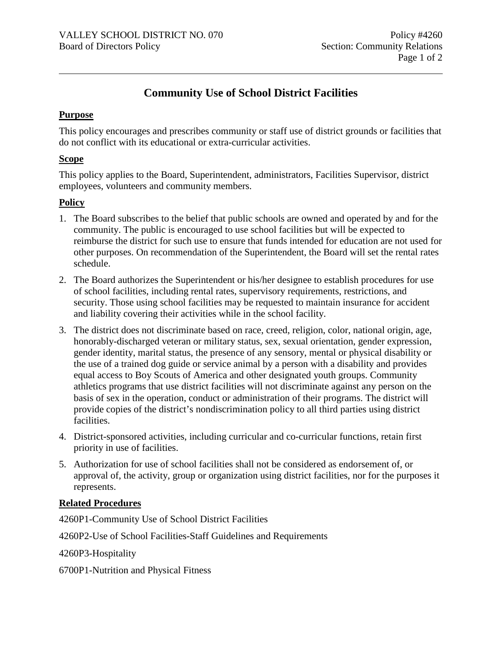# **Community Use of School District Facilities**

## **Purpose**

This policy encourages and prescribes community or staff use of district grounds or facilities that do not conflict with its educational or extra-curricular activities.

#### **Scope**

This policy applies to the Board, Superintendent, administrators, Facilities Supervisor, district employees, volunteers and community members.

# **Policy**

- 1. The Board subscribes to the belief that public schools are owned and operated by and for the community. The public is encouraged to use school facilities but will be expected to reimburse the district for such use to ensure that funds intended for education are not used for other purposes. On recommendation of the Superintendent, the Board will set the rental rates schedule.
- 2. The Board authorizes the Superintendent or his/her designee to establish procedures for use of school facilities, including rental rates, supervisory requirements, restrictions, and security. Those using school facilities may be requested to maintain insurance for accident and liability covering their activities while in the school facility.
- 3. The district does not discriminate based on race, creed, religion, color, national origin, age, honorably-discharged veteran or military status, sex, sexual orientation, gender expression, gender identity, marital status, the presence of any sensory, mental or physical disability or the use of a trained dog guide or service animal by a person with a disability and provides equal access to Boy Scouts of America and other designated youth groups. Community athletics programs that use district facilities will not discriminate against any person on the basis of sex in the operation, conduct or administration of their programs. The district will provide copies of the district's nondiscrimination policy to all third parties using district facilities.
- 4. District-sponsored activities, including curricular and co-curricular functions, retain first priority in use of facilities.
- 5. Authorization for use of school facilities shall not be considered as endorsement of, or approval of, the activity, group or organization using district facilities, nor for the purposes it represents.

# **Related Procedures**

4260P1-Community Use of School District Facilities

4260P2-Use of School Facilities-Staff Guidelines and Requirements

4260P3-Hospitality

6700P1-Nutrition and Physical Fitness